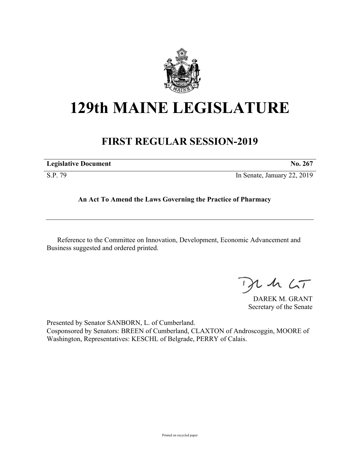

## **129th MAINE LEGISLATURE**

## **FIRST REGULAR SESSION-2019**

| <b>Legislative Document</b> | No. 267                     |
|-----------------------------|-----------------------------|
| S.P. 79                     | In Senate, January 22, 2019 |

**An Act To Amend the Laws Governing the Practice of Pharmacy**

Reference to the Committee on Innovation, Development, Economic Advancement and Business suggested and ordered printed.

 $125$ 

DAREK M. GRANT Secretary of the Senate

Presented by Senator SANBORN, L. of Cumberland. Cosponsored by Senators: BREEN of Cumberland, CLAXTON of Androscoggin, MOORE of Washington, Representatives: KESCHL of Belgrade, PERRY of Calais.